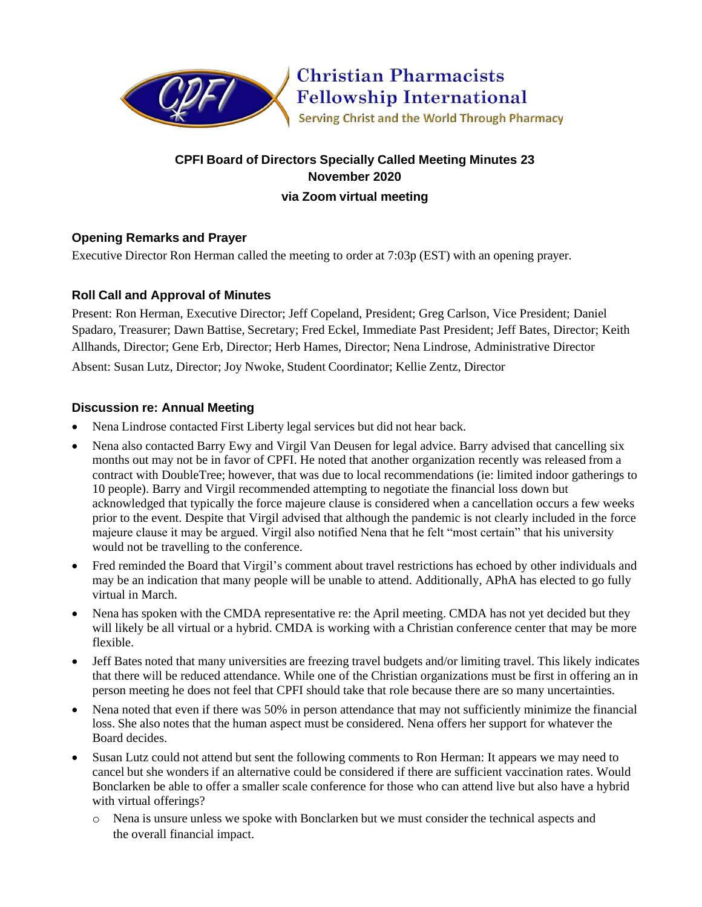

# **CPFI Board of Directors Specially Called Meeting Minutes 23 November 2020 via Zoom virtual meeting**

# **Opening Remarks and Prayer**

Executive Director Ron Herman called the meeting to order at 7:03p (EST) with an opening prayer.

# **Roll Call and Approval of Minutes**

Present: Ron Herman, Executive Director; Jeff Copeland, President; Greg Carlson, Vice President; Daniel Spadaro, Treasurer; Dawn Battise, Secretary; Fred Eckel, Immediate Past President; Jeff Bates, Director; Keith Allhands, Director; Gene Erb, Director; Herb Hames, Director; Nena Lindrose, Administrative Director Absent: Susan Lutz, Director; Joy Nwoke, Student Coordinator; Kellie Zentz, Director

## **Discussion re: Annual Meeting**

- Nena Lindrose contacted First Liberty legal services but did not hear back.
- Nena also contacted Barry Ewy and Virgil Van Deusen for legal advice. Barry advised that cancelling six months out may not be in favor of CPFI. He noted that another organization recently was released from a contract with DoubleTree; however, that was due to local recommendations (ie: limited indoor gatherings to 10 people). Barry and Virgil recommended attempting to negotiate the financial loss down but acknowledged that typically the force majeure clause is considered when a cancellation occurs a few weeks prior to the event. Despite that Virgil advised that although the pandemic is not clearly included in the force majeure clause it may be argued. Virgil also notified Nena that he felt "most certain" that his university would not be travelling to the conference.
- Fred reminded the Board that Virgil's comment about travel restrictions has echoed by other individuals and may be an indication that many people will be unable to attend. Additionally, APhA has elected to go fully virtual in March.
- Nena has spoken with the CMDA representative re: the April meeting. CMDA has not yet decided but they will likely be all virtual or a hybrid. CMDA is working with a Christian conference center that may be more flexible.
- Jeff Bates noted that many universities are freezing travel budgets and/or limiting travel. This likely indicates that there will be reduced attendance. While one of the Christian organizations must be first in offering an in person meeting he does not feel that CPFI should take that role because there are so many uncertainties.
- Nena noted that even if there was 50% in person attendance that may not sufficiently minimize the financial loss. She also notes that the human aspect must be considered. Nena offers her support for whatever the Board decides.
- Susan Lutz could not attend but sent the following comments to Ron Herman: It appears we may need to cancel but she wonders if an alternative could be considered if there are sufficient vaccination rates. Would Bonclarken be able to offer a smaller scale conference for those who can attend live but also have a hybrid with virtual offerings?
	- o Nena is unsure unless we spoke with Bonclarken but we must consider the technical aspects and the overall financial impact.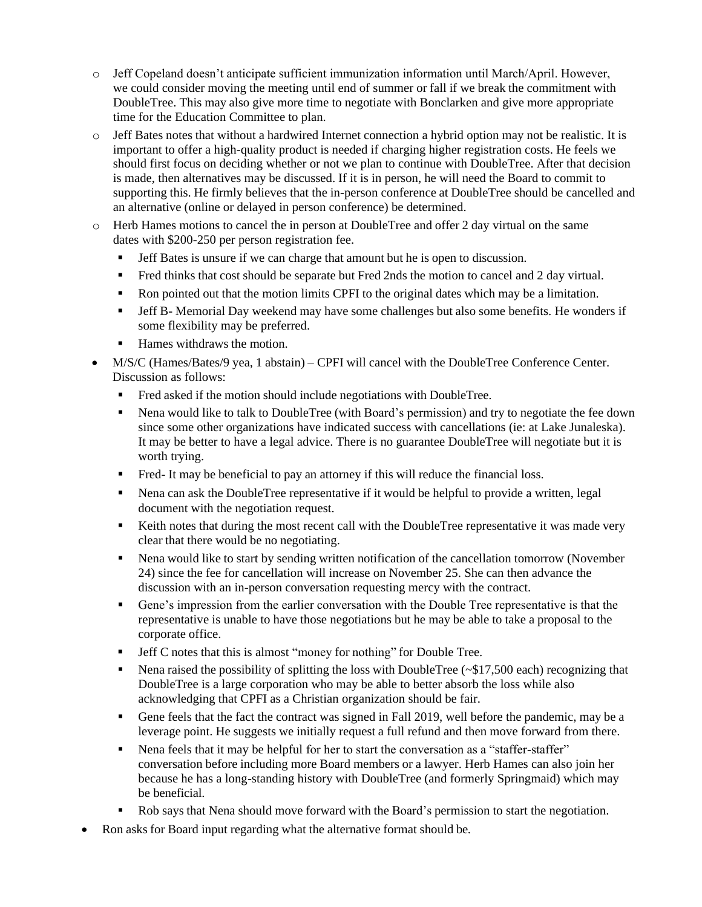- o Jeff Copeland doesn't anticipate sufficient immunization information until March/April. However, we could consider moving the meeting until end of summer or fall if we break the commitment with DoubleTree. This may also give more time to negotiate with Bonclarken and give more appropriate time for the Education Committee to plan.
- o Jeff Bates notes that without a hardwired Internet connection a hybrid option may not be realistic. It is important to offer a high-quality product is needed if charging higher registration costs. He feels we should first focus on deciding whether or not we plan to continue with DoubleTree. After that decision is made, then alternatives may be discussed. If it is in person, he will need the Board to commit to supporting this. He firmly believes that the in-person conference at DoubleTree should be cancelled and an alternative (online or delayed in person conference) be determined.
- o Herb Hames motions to cancel the in person at DoubleTree and offer 2 day virtual on the same dates with \$200-250 per person registration fee.
	- Jeff Bates is unsure if we can charge that amount but he is open to discussion.
	- Fred thinks that cost should be separate but Fred 2nds the motion to cancel and 2 day virtual.
	- Ron pointed out that the motion limits CPFI to the original dates which may be a limitation.
	- Jeff B- Memorial Day weekend may have some challenges but also some benefits. He wonders if some flexibility may be preferred.
	- Hames withdraws the motion.
- M/S/C (Hames/Bates/9 yea, 1 abstain) CPFI will cancel with the DoubleTree Conference Center. Discussion as follows:
	- Fred asked if the motion should include negotiations with DoubleTree.
	- Nena would like to talk to DoubleTree (with Board's permission) and try to negotiate the fee down since some other organizations have indicated success with cancellations (ie: at Lake Junaleska). It may be better to have a legal advice. There is no guarantee DoubleTree will negotiate but it is worth trying.
	- Fred- It may be beneficial to pay an attorney if this will reduce the financial loss.
	- Nena can ask the DoubleTree representative if it would be helpful to provide a written, legal document with the negotiation request.
	- Keith notes that during the most recent call with the DoubleTree representative it was made very clear that there would be no negotiating.
	- Nena would like to start by sending written notification of the cancellation tomorrow (November 24) since the fee for cancellation will increase on November 25. She can then advance the discussion with an in-person conversation requesting mercy with the contract.
	- Gene's impression from the earlier conversation with the Double Tree representative is that the representative is unable to have those negotiations but he may be able to take a proposal to the corporate office.
	- **Jeff C** notes that this is almost "money for nothing" for Double Tree.
	- Nena raised the possibility of splitting the loss with DoubleTree ( $\sim$ \$17,500 each) recognizing that DoubleTree is a large corporation who may be able to better absorb the loss while also acknowledging that CPFI as a Christian organization should be fair.
	- Gene feels that the fact the contract was signed in Fall 2019, well before the pandemic, may be a leverage point. He suggests we initially request a full refund and then move forward from there.
	- Nena feels that it may be helpful for her to start the conversation as a "staffer-staffer" conversation before including more Board members or a lawyer. Herb Hames can also join her because he has a long-standing history with DoubleTree (and formerly Springmaid) which may be beneficial.
	- Rob says that Nena should move forward with the Board's permission to start the negotiation.
- Ron asks for Board input regarding what the alternative format should be.